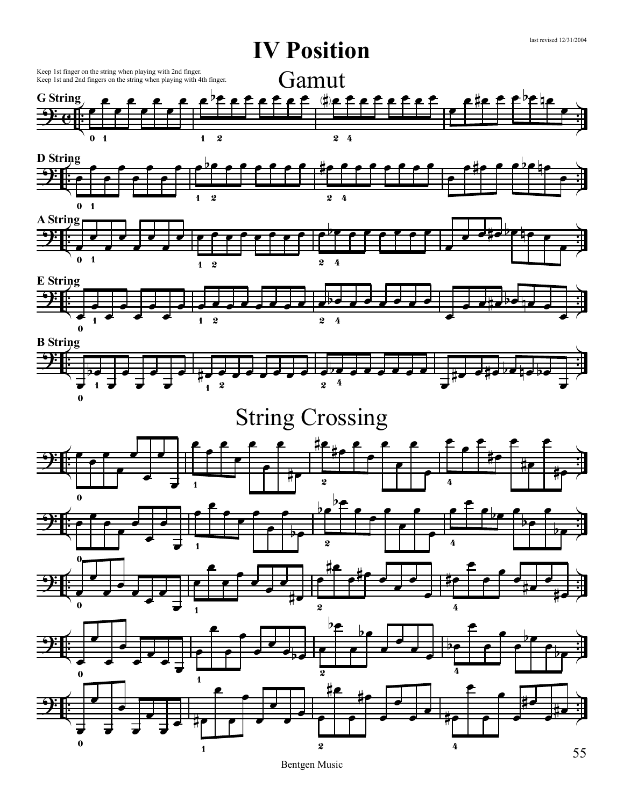

Bentgen Music

55

last revised 12/31/2004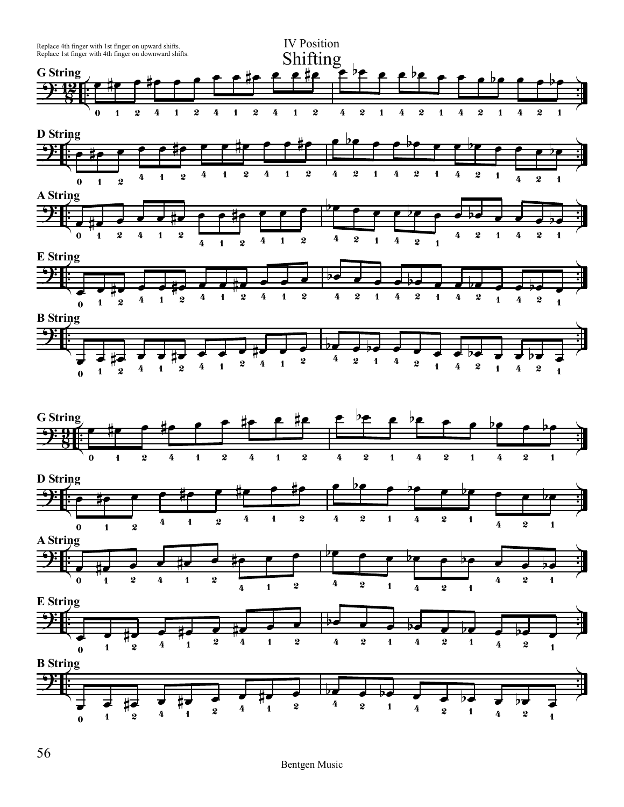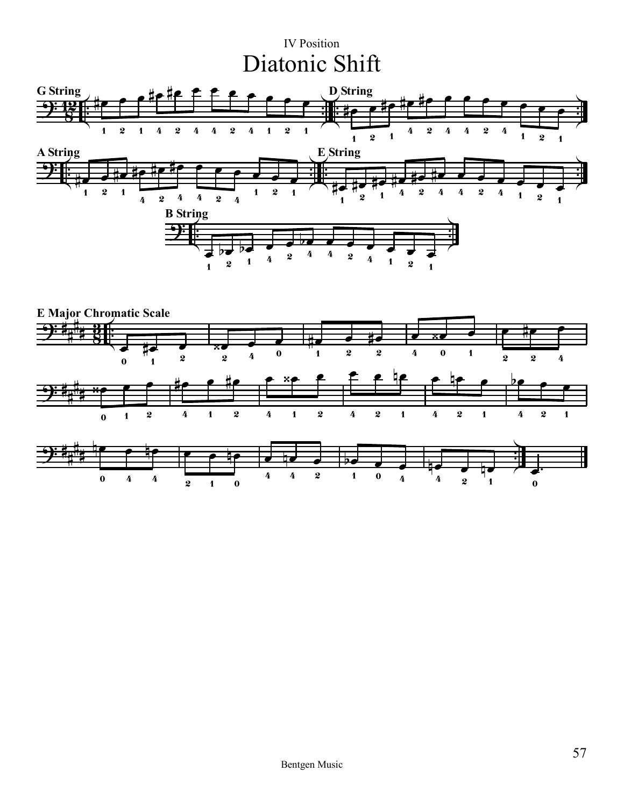# IV Position Diatonic Shift



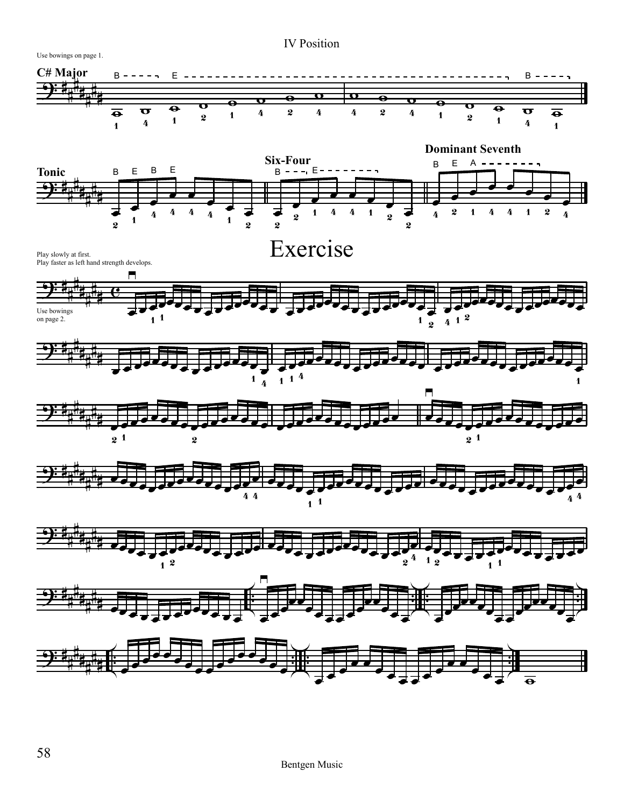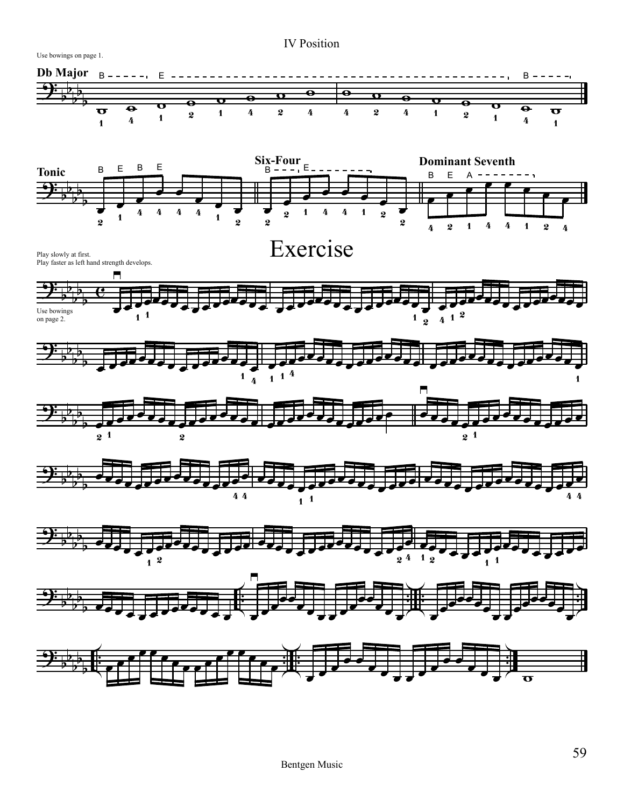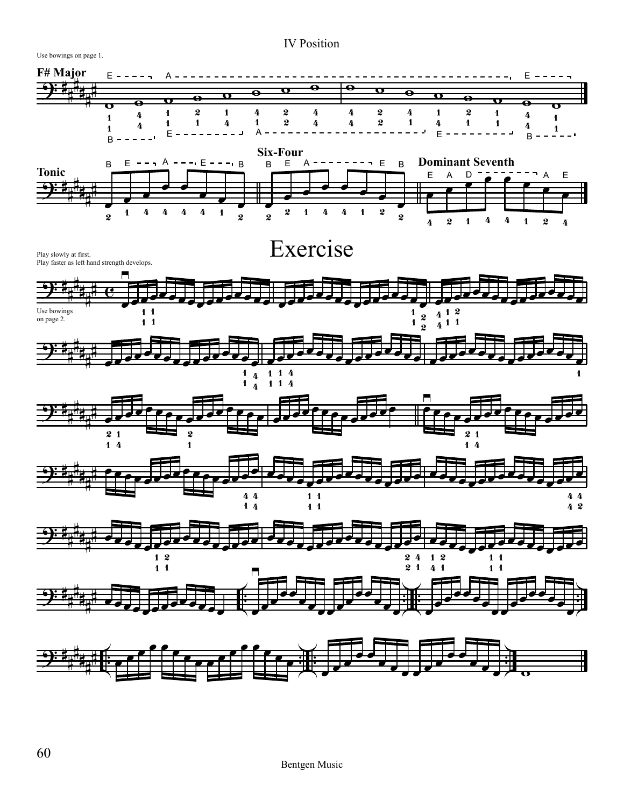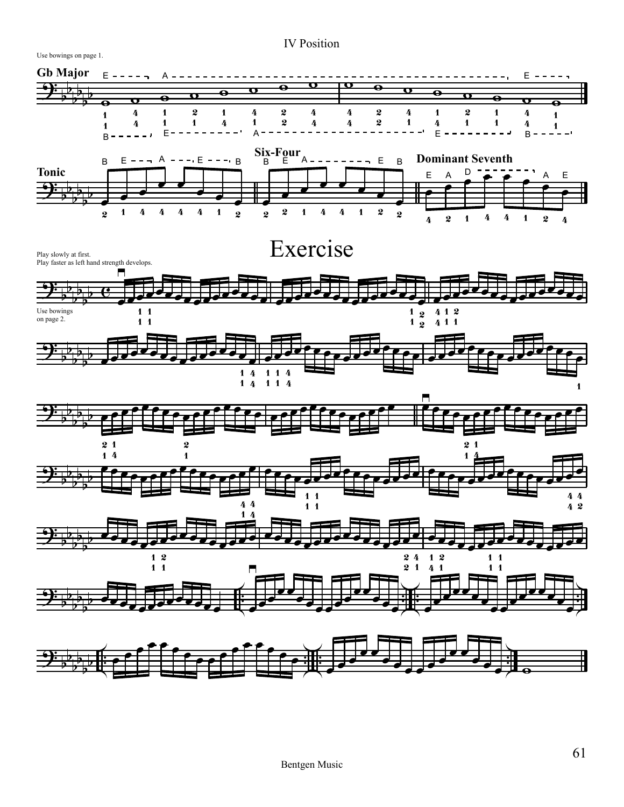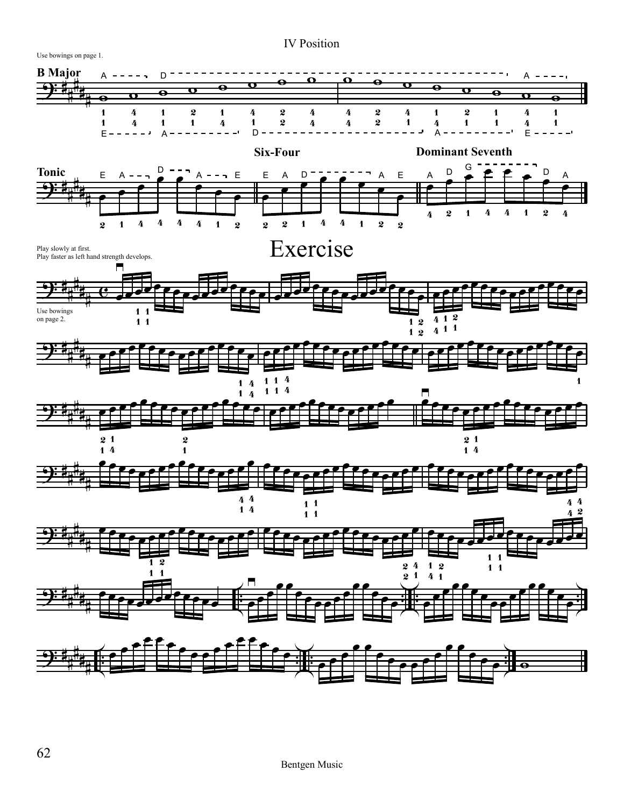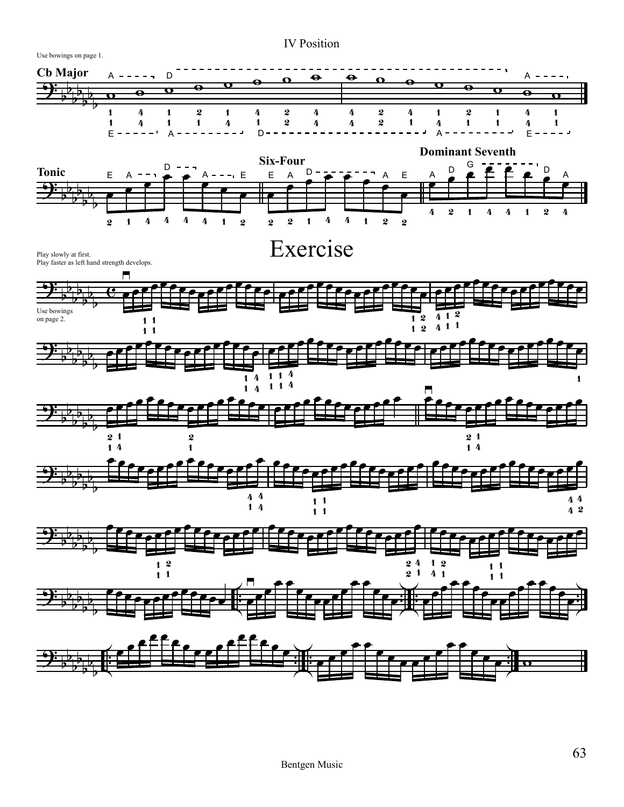![](_page_8_Figure_1.jpeg)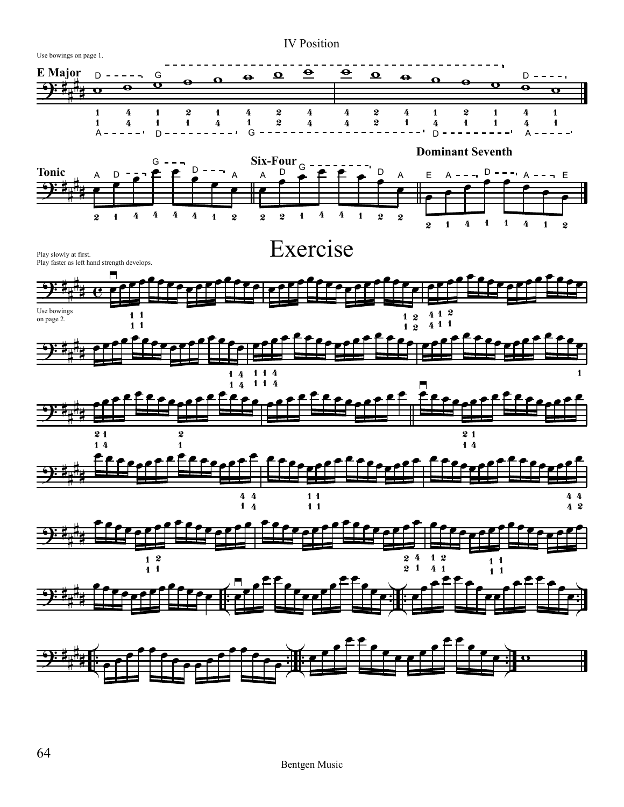![](_page_9_Figure_1.jpeg)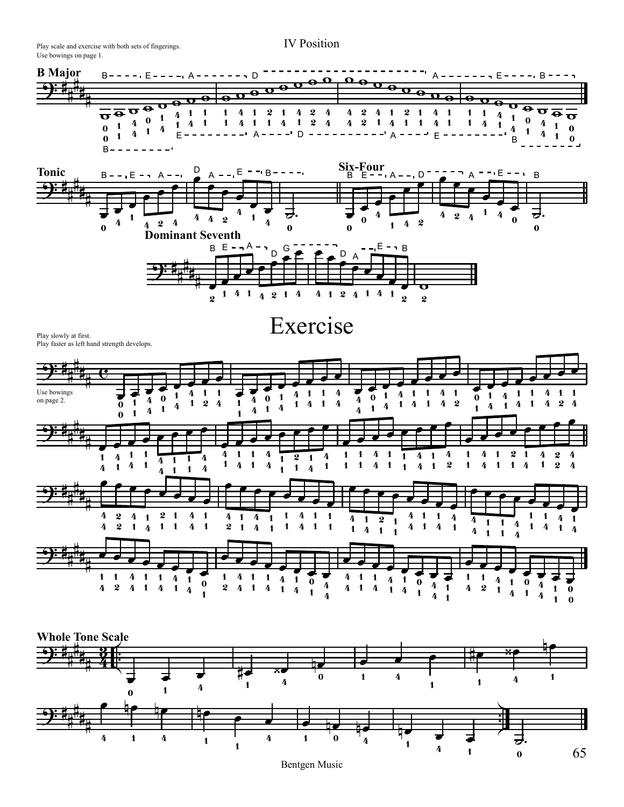Use bowings on page 1. Play scale and exercise with both sets of fingerings.

![](_page_10_Figure_2.jpeg)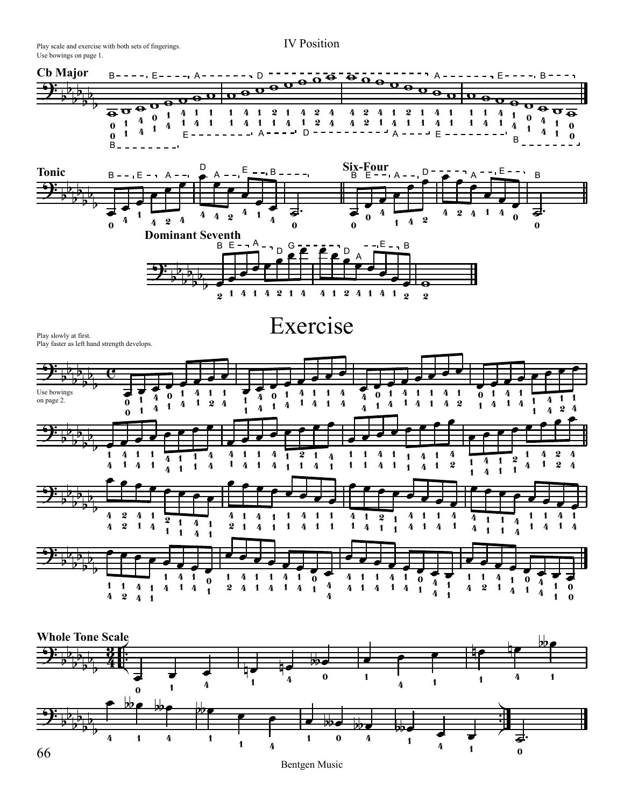![](_page_11_Figure_2.jpeg)